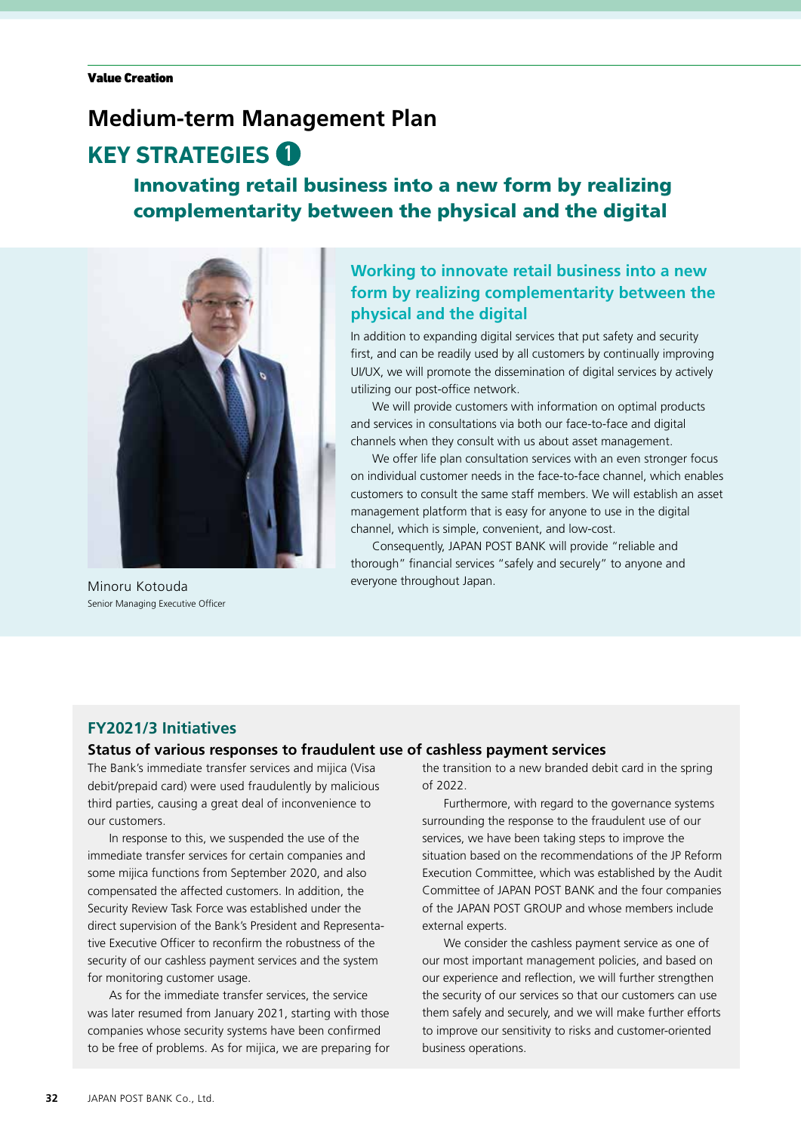## **Medium-term Management Plan**

# **KEY STRATEGIES**

### Innovating retail business into a new form by realizing complementarity between the physical and the digital



Senior Managing Executive Officer

### **Working to innovate retail business into a new form by realizing complementarity between the physical and the digital**

In addition to expanding digital services that put safety and security first, and can be readily used by all customers by continually improving UI/UX, we will promote the dissemination of digital services by actively utilizing our post-office network.

We will provide customers with information on optimal products and services in consultations via both our face-to-face and digital channels when they consult with us about asset management.

We offer life plan consultation services with an even stronger focus on individual customer needs in the face-to-face channel, which enables customers to consult the same staff members. We will establish an asset management platform that is easy for anyone to use in the digital channel, which is simple, convenient, and low-cost.

Consequently, JAPAN POST BANK will provide "reliable and thorough" financial services "safely and securely" to anyone and Minoru Kotouda everyone throughout Japan.

#### **FY2021/3 Initiatives**

#### **Status of various responses to fraudulent use of cashless payment services**

The Bank's immediate transfer services and mijica (Visa debit/prepaid card) were used fraudulently by malicious third parties, causing a great deal of inconvenience to our customers.

In response to this, we suspended the use of the immediate transfer services for certain companies and some mijica functions from September 2020, and also compensated the affected customers. In addition, the Security Review Task Force was established under the direct supervision of the Bank's President and Representative Executive Officer to reconfirm the robustness of the security of our cashless payment services and the system for monitoring customer usage.

As for the immediate transfer services, the service was later resumed from January 2021, starting with those companies whose security systems have been confirmed to be free of problems. As for mijica, we are preparing for the transition to a new branded debit card in the spring of 2022.

Furthermore, with regard to the governance systems surrounding the response to the fraudulent use of our services, we have been taking steps to improve the situation based on the recommendations of the JP Reform Execution Committee, which was established by the Audit Committee of JAPAN POST BANK and the four companies of the JAPAN POST GROUP and whose members include external experts.

We consider the cashless payment service as one of our most important management policies, and based on our experience and reflection, we will further strengthen the security of our services so that our customers can use them safely and securely, and we will make further efforts to improve our sensitivity to risks and customer-oriented business operations.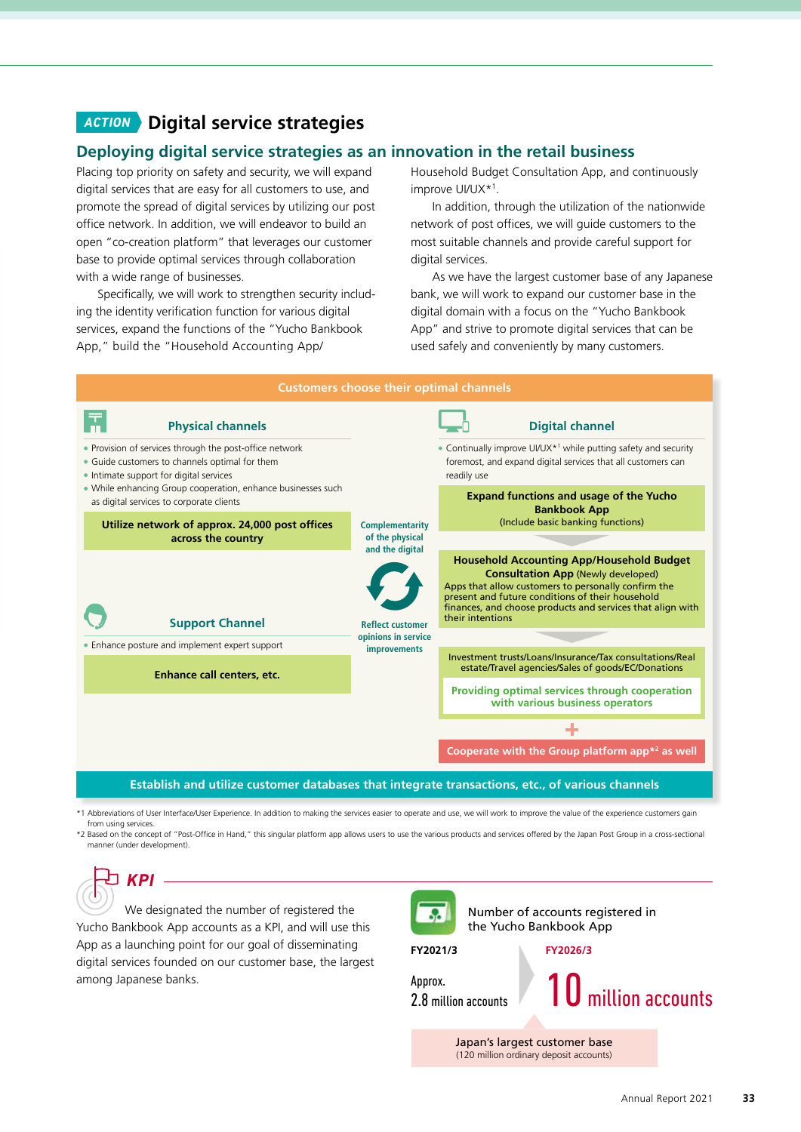## *ACTION* **Digital service strategies**

#### **Deploying digital service strategies as an innovation in the retail business**

Placing top priority on safety and security, we will expand digital services that are easy for all customers to use, and promote the spread of digital services by utilizing our post office network. In addition, we will endeavor to build an open "co-creation platform" that leverages our customer base to provide optimal services through collaboration with a wide range of businesses.

Specifically, we will work to strengthen security including the identity verification function for various digital services, expand the functions of the "Yucho Bankbook App," build the "Household Accounting App/

Household Budget Consultation App, and continuously improve UI/UX\*1 .

In addition, through the utilization of the nationwide network of post offices, we will guide customers to the most suitable channels and provide careful support for digital services.

As we have the largest customer base of any Japanese bank, we will work to expand our customer base in the digital domain with a focus on the "Yucho Bankbook App" and strive to promote digital services that can be used safely and conveniently by many customers.



\*1 Abbreviations of User Interface/User Experience. In addition to making the services easier to operate and use, we will work to improve the value of the experience customers gain from using services.

\*2 Based on the concept of "Post-Office in Hand," this singular platform app allows users to use the various products and services offered by the Japan Post Group in a cross-sectional manner (under development).

*KPI*

We designated the number of registered the Yucho Bankbook App accounts as a KPI, and will use this App as a launching point for our goal of disseminating digital services founded on our customer base, the largest among Japanese banks.



Number of accounts registered in the Yucho Bankbook App

**FY2021/3**

**FY2026/3**

Approx.

 $\frac{1}{2.8}$  million accounts  $\sqrt{10}$  million accounts

Japan's largest customer base (120 million ordinary deposit accounts)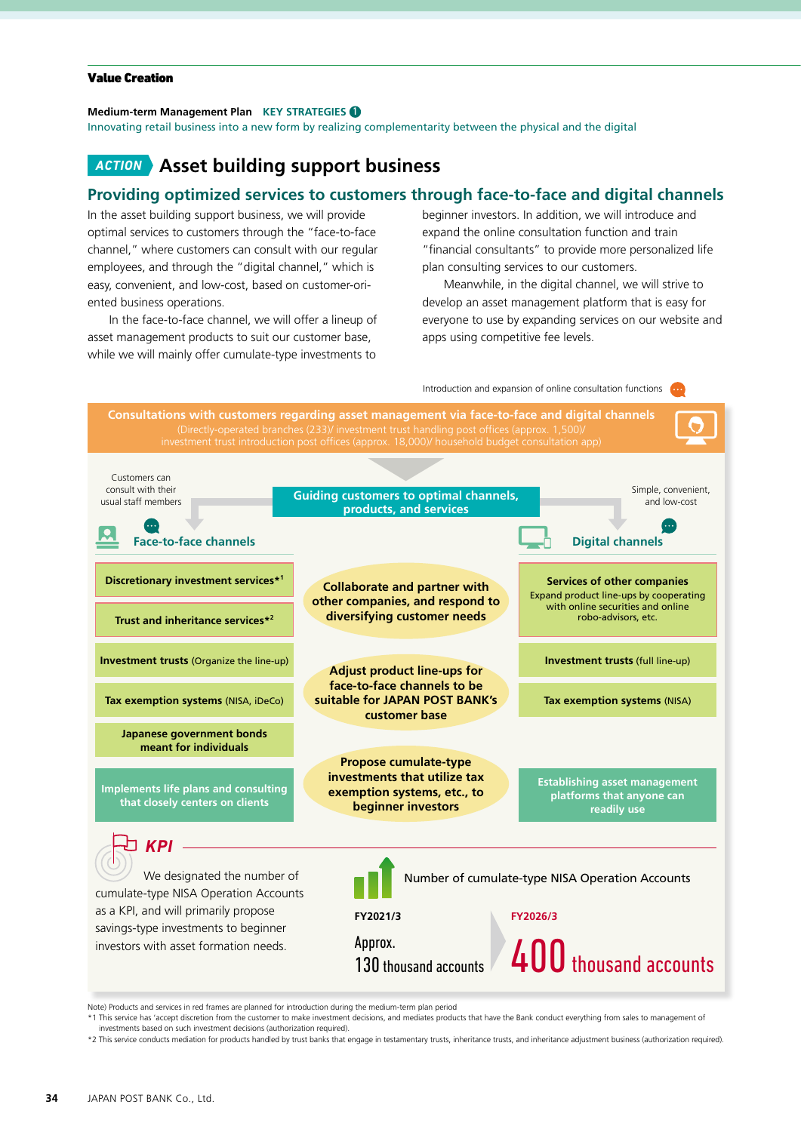#### Value Creation

#### **Medium-term Management Plan KEY STRATEGIES**

Innovating retail business into a new form by realizing complementarity between the physical and the digital

#### *ACTION* **Asset building support business**

#### **Providing optimized services to customers through face-to-face and digital channels**

In the asset building support business, we will provide optimal services to customers through the "face-to-face channel," where customers can consult with our regular employees, and through the "digital channel," which is easy, convenient, and low-cost, based on customer-oriented business operations.

In the face-to-face channel, we will offer a lineup of asset management products to suit our customer base, while we will mainly offer cumulate-type investments to

beginner investors. In addition, we will introduce and expand the online consultation function and train "financial consultants" to provide more personalized life plan consulting services to our customers.

Meanwhile, in the digital channel, we will strive to develop an asset management platform that is easy for everyone to use by expanding services on our website and apps using competitive fee levels.



Note) Products and services in red frames are planned for introduction during the medium-term plan period

\*1 This service has 'accept discretion from the customer to make investment decisions, and mediates products that have the Bank conduct everything from sales to management of investments based on such investment decisions (authorization required).

\*2 This service conducts mediation for products handled by trust banks that engage in testamentary trusts, inheritance trusts, and inheritance adjustment business (authorization required).